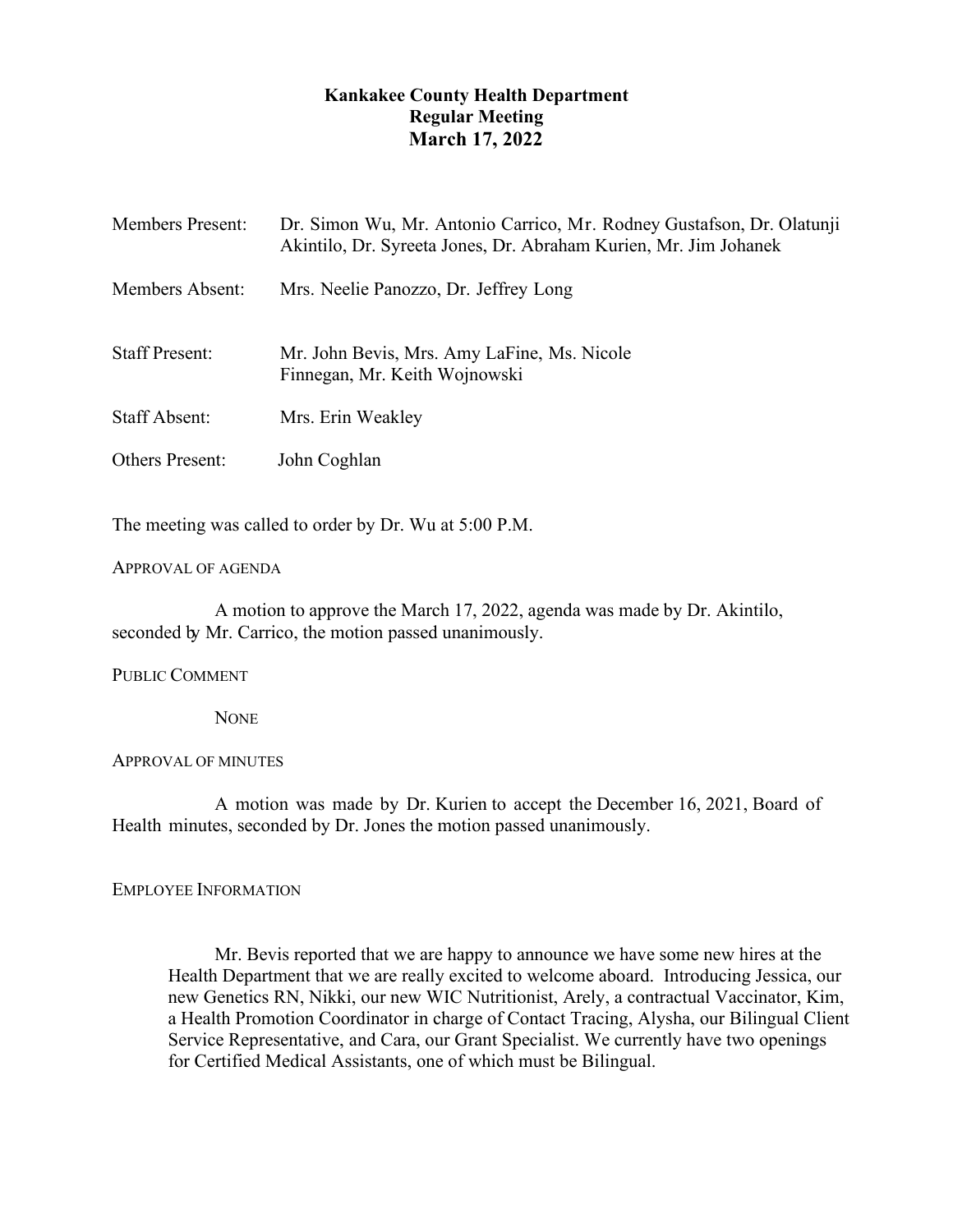# **Kankakee County Health Department Regular Meeting March 17, 2022**

| <b>Members Present:</b> | Dr. Simon Wu, Mr. Antonio Carrico, Mr. Rodney Gustafson, Dr. Olatunji<br>Akintilo, Dr. Syreeta Jones, Dr. Abraham Kurien, Mr. Jim Johanek |
|-------------------------|-------------------------------------------------------------------------------------------------------------------------------------------|
| Members Absent:         | Mrs. Neelie Panozzo, Dr. Jeffrey Long                                                                                                     |
| <b>Staff Present:</b>   | Mr. John Bevis, Mrs. Amy LaFine, Ms. Nicole<br>Finnegan, Mr. Keith Wojnowski                                                              |
| <b>Staff Absent:</b>    | Mrs. Erin Weakley                                                                                                                         |
| <b>Others Present:</b>  | John Coghlan                                                                                                                              |

The meeting was called to order by Dr. Wu at 5:00 P.M.

### APPROVAL OF AGENDA

A motion to approve the March 17, 2022, agenda was made by Dr. Akintilo, seconded by Mr. Carrico, the motion passed unanimously.

PUBLIC COMMENT

**NONE** 

# APPROVAL OF MINUTES

A motion was made by Dr. Kurien to accept the December 16, 2021, Board of Health minutes, seconded by Dr. Jones the motion passed unanimously.

# EMPLOYEE INFORMATION

Mr. Bevis reported that we are happy to announce we have some new hires at the Health Department that we are really excited to welcome aboard. Introducing Jessica, our new Genetics RN, Nikki, our new WIC Nutritionist, Arely, a contractual Vaccinator, Kim, a Health Promotion Coordinator in charge of Contact Tracing, Alysha, our Bilingual Client Service Representative, and Cara, our Grant Specialist. We currently have two openings for Certified Medical Assistants, one of which must be Bilingual.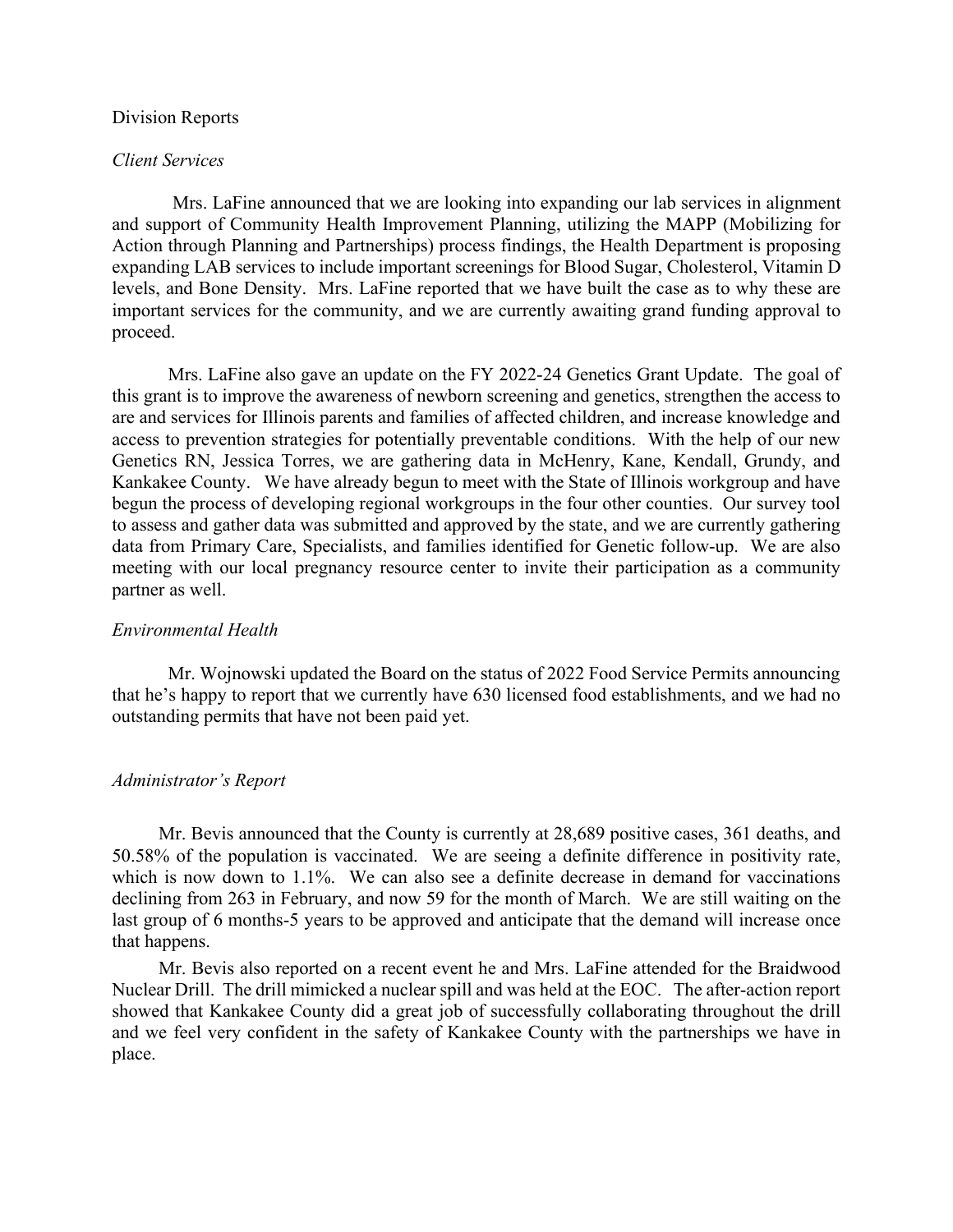#### Division Reports

#### *Client Services*

Mrs. LaFine announced that we are looking into expanding our lab services in alignment and support of Community Health Improvement Planning, utilizing the MAPP (Mobilizing for Action through Planning and Partnerships) process findings, the Health Department is proposing expanding LAB services to include important screenings for Blood Sugar, Cholesterol, Vitamin D levels, and Bone Density. Mrs. LaFine reported that we have built the case as to why these are important services for the community, and we are currently awaiting grand funding approval to proceed.

Mrs. LaFine also gave an update on the FY 2022-24 Genetics Grant Update. The goal of this grant is to improve the awareness of newborn screening and genetics, strengthen the access to are and services for Illinois parents and families of affected children, and increase knowledge and access to prevention strategies for potentially preventable conditions. With the help of our new Genetics RN, Jessica Torres, we are gathering data in McHenry, Kane, Kendall, Grundy, and Kankakee County. We have already begun to meet with the State of Illinois workgroup and have begun the process of developing regional workgroups in the four other counties. Our survey tool to assess and gather data was submitted and approved by the state, and we are currently gathering data from Primary Care, Specialists, and families identified for Genetic follow-up. We are also meeting with our local pregnancy resource center to invite their participation as a community partner as well.

#### *Environmental Health*

Mr. Wojnowski updated the Board on the status of 2022 Food Service Permits announcing that he's happy to report that we currently have 630 licensed food establishments, and we had no outstanding permits that have not been paid yet.

#### *Administrator's Report*

Mr. Bevis announced that the County is currently at 28,689 positive cases, 361 deaths, and 50.58% of the population is vaccinated. We are seeing a definite difference in positivity rate, which is now down to 1.1%. We can also see a definite decrease in demand for vaccinations declining from 263 in February, and now 59 for the month of March. We are still waiting on the last group of 6 months-5 years to be approved and anticipate that the demand will increase once that happens.

Mr. Bevis also reported on a recent event he and Mrs. LaFine attended for the Braidwood Nuclear Drill. The drill mimicked a nuclear spill and was held at the EOC. The after-action report showed that Kankakee County did a great job of successfully collaborating throughout the drill and we feel very confident in the safety of Kankakee County with the partnerships we have in place.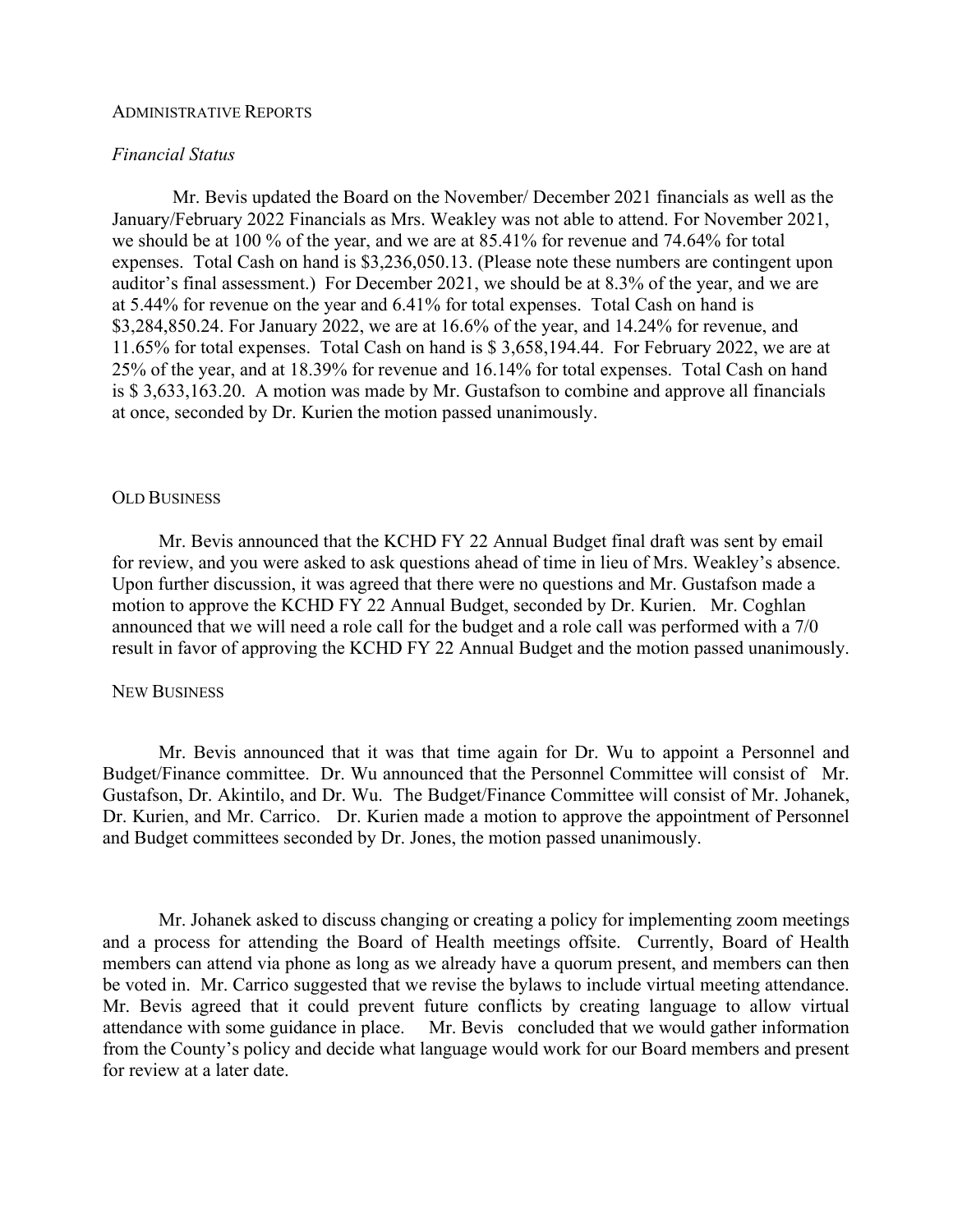### ADMINISTRATIVE REPORTS

## *Financial Status*

Mr. Bevis updated the Board on the November/ December 2021 financials as well as the January/February 2022 Financials as Mrs. Weakley was not able to attend. For November 2021, we should be at 100 % of the year, and we are at 85.41% for revenue and 74.64% for total expenses. Total Cash on hand is \$3,236,050.13. (Please note these numbers are contingent upon auditor's final assessment.) For December 2021, we should be at 8.3% of the year, and we are at 5.44% for revenue on the year and 6.41% for total expenses. Total Cash on hand is \$3,284,850.24. For January 2022, we are at 16.6% of the year, and 14.24% for revenue, and 11.65% for total expenses. Total Cash on hand is \$ 3,658,194.44. For February 2022, we are at 25% of the year, and at 18.39% for revenue and 16.14% for total expenses. Total Cash on hand is \$ 3,633,163.20. A motion was made by Mr. Gustafson to combine and approve all financials at once, seconded by Dr. Kurien the motion passed unanimously.

#### OLD BUSINESS

Mr. Bevis announced that the KCHD FY 22 Annual Budget final draft was sent by email for review, and you were asked to ask questions ahead of time in lieu of Mrs. Weakley's absence. Upon further discussion, it was agreed that there were no questions and Mr. Gustafson made a motion to approve the KCHD FY 22 Annual Budget, seconded by Dr. Kurien. Mr. Coghlan announced that we will need a role call for the budget and a role call was performed with a 7/0 result in favor of approving the KCHD FY 22 Annual Budget and the motion passed unanimously.

#### NEW BUSINESS

Mr. Bevis announced that it was that time again for Dr. Wu to appoint a Personnel and Budget/Finance committee. Dr. Wu announced that the Personnel Committee will consist of Mr. Gustafson, Dr. Akintilo, and Dr. Wu. The Budget/Finance Committee will consist of Mr. Johanek, Dr. Kurien, and Mr. Carrico. Dr. Kurien made a motion to approve the appointment of Personnel and Budget committees seconded by Dr. Jones, the motion passed unanimously.

Mr. Johanek asked to discuss changing or creating a policy for implementing zoom meetings and a process for attending the Board of Health meetings offsite. Currently, Board of Health members can attend via phone as long as we already have a quorum present, and members can then be voted in. Mr. Carrico suggested that we revise the bylaws to include virtual meeting attendance. Mr. Bevis agreed that it could prevent future conflicts by creating language to allow virtual attendance with some guidance in place. Mr. Bevis concluded that we would gather information from the County's policy and decide what language would work for our Board members and present for review at a later date.